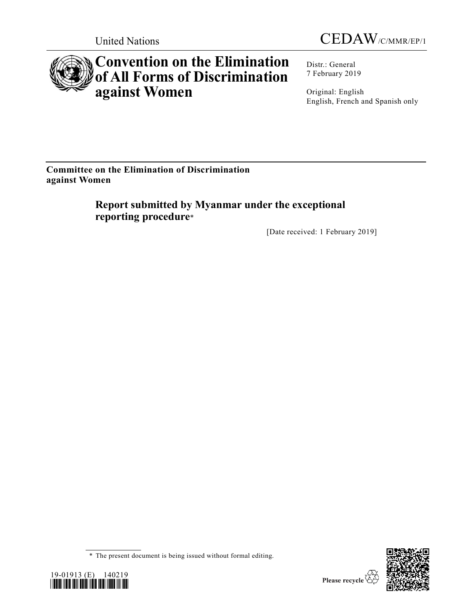



# **Convention on the Elimination of All Forms of Discrimination against Women**

Distr.: General 7 February 2019

Original: English English, French and Spanish only

**Committee on the Elimination of Discrimination against Women**

> **Report submitted by Myanmar under the exceptional reporting procedure**\*

> > [Date received: 1 February 2019]

<sup>\*</sup> The present document is being issued without formal editing.



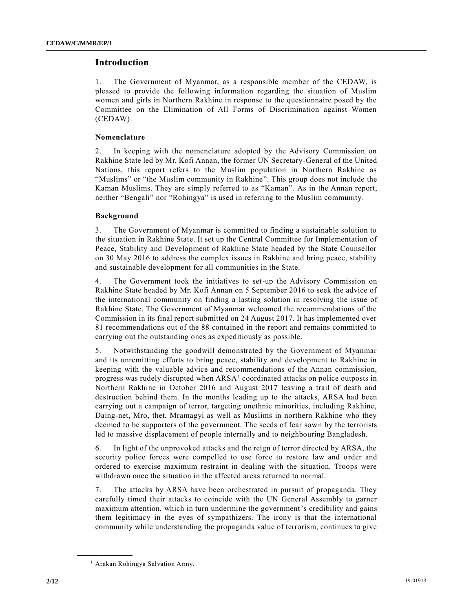## **Introduction**

1. The Government of Myanmar, as a responsible member of the CEDAW, is pleased to provide the following information regarding the situation of Muslim women and girls in Northern Rakhine in response to the questionnaire posed by the Committee on the Elimination of All Forms of Discrimination against Women (CEDAW).

#### **Nomenclature**

2. In keeping with the nomenclature adopted by the Advisory Commission on Rakhine State led by Mr. Kofi Annan, the former UN Secretary-General of the United Nations, this report refers to the Muslim population in Northern Rakhine as "Muslims" or "the Muslim community in Rakhine". This group does not include the Kaman Muslims. They are simply referred to as "Kaman". As in the Annan report, neither "Bengali" nor "Rohingya" is used in referring to the Muslim community.

#### **Background**

3. The Government of Myanmar is committed to finding a sustainable solution to the situation in Rakhine State. It set up the Central Committee for Implementation of Peace, Stability and Development of Rakhine State headed by the State Counsellor on 30 May 2016 to address the complex issues in Rakhine and bring peace, stability and sustainable development for all communities in the State.

4. The Government took the initiatives to set-up the Advisory Commission on Rakhine State headed by Mr. Kofi Annan on 5 September 2016 to seek the advice of the international community on finding a lasting solution in resolving the issue of Rakhine State. The Government of Myanmar welcomed the recommendations of the Commission in its final report submitted on 24 August 2017. It has implemented over 81 recommendations out of the 88 contained in the report and remains committed to carrying out the outstanding ones as expeditiously as possible.

5. Notwithstanding the goodwill demonstrated by the Government of Myanmar and its unremitting efforts to bring peace, stability and development to Rakhine in keeping with the valuable advice and recommendations of the Annan commission, progress was rudely disrupted when  $ARSA<sup>1</sup>$  coordinated attacks on police outposts in Northern Rakhine in October 2016 and August 2017 leaving a trail of death and destruction behind them. In the months leading up to the attacks, ARSA had been carrying out a campaign of terror, targeting onethnic minorities, including Rakhine, Daing-net, Mro, thet, Mramagyi as well as Muslims in northern Rakhine who they deemed to be supporters of the government. The seeds of fear sown by the terrorists led to massive displacement of people internally and to neighbouring Bangladesh.

6. In light of the unprovoked attacks and the reign of terror directed by ARSA, the security police forces were compelled to use force to restore law and order and ordered to exercise maximum restraint in dealing with the situation. Troops were withdrawn once the situation in the affected areas returned to normal.

7. The attacks by ARSA have been orchestrated in pursuit of propaganda. They carefully timed their attacks to coincide with the UN General Assembly to garner maximum attention, which in turn undermine the government's credibility and gains them legitimacy in the eyes of sympathizers. The irony is that the international community while understanding the propaganda value of terrorism, continues to give

**\_\_\_\_\_\_\_\_\_\_\_\_\_\_\_\_\_\_**

<sup>&</sup>lt;sup>1</sup> Arakan Rohingya Salvation Army.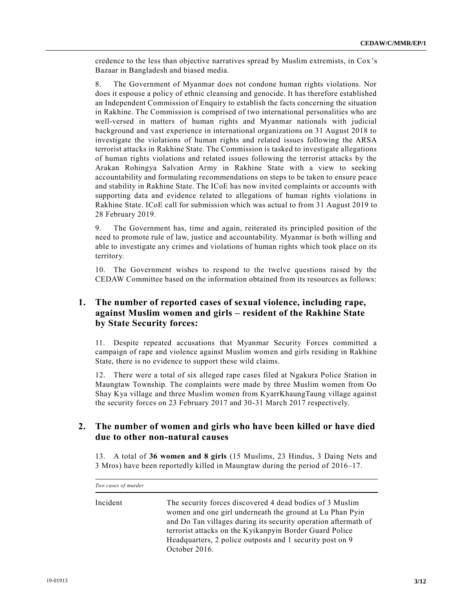credence to the less than objective narratives spread by Muslim extremists, in Cox 's Bazaar in Bangladesh and biased media.

8. The Government of Myanmar does not condone human rights violations. Nor does it espouse a policy of ethnic cleansing and genocide. It has therefore established an Independent Commission of Enquiry to establish the facts concerning the situation in Rakhine. The Commission is comprised of two international personalities who are well-versed in matters of human rights and Myanmar nationals with judicial background and vast experience in international organizations on 31 August 2018 to investigate the violations of human rights and related issues following the ARSA terrorist attacks in Rakhine State. The Commission is tasked to investigate allegations of human rights violations and related issues following the terrorist attacks by the Arakan Rohingya Salvation Army in Rakhine State with a view to seeking accountability and formulating recommendations on steps to be taken to ensure peace and stability in Rakhine State. The ICoE has now invited complaints or accounts with supporting data and evidence related to allegations of human rights violations in Rakhine State. ICoE call for submission which was actual to from 31 August 2019 to 28 February 2019.

9. The Government has, time and again, reiterated its principled position of the need to promote rule of law, justice and accountability. Myanmar is both willing and able to investigate any crimes and violations of human rights which took place on its territory.

10. The Government wishes to respond to the twelve questions raised by the CEDAW Committee based on the information obtained from its resources as follows:

# **1. The number of reported cases of sexual violence, including rape, against Muslim women and girls – resident of the Rakhine State by State Security forces:**

11. Despite repeated accusations that Myanmar Security Forces committed a campaign of rape and violence against Muslim women and girls residing in Rakhine State, there is no evidence to support these wild claims.

12. There were a total of six alleged rape cases filed at Ngakura Police Station in Maungtaw Township. The complaints were made by three Muslim women from Oo Shay Kya village and three Muslim women from KyarrKhaungTaung village against the security forces on 23 February 2017 and 30-31 March 2017 respectively.

## **2. The number of women and girls who have been killed or have died due to other non-natural causes**

13. A total of **36 women and 8 girls** (15 Muslims, 23 Hindus, 3 Daing Nets and 3 Mros) have been reportedly killed in Maungtaw during the period of 2016–17.

| Two cases of murder |                                                                                                                                                                                                                                                                                                                                |
|---------------------|--------------------------------------------------------------------------------------------------------------------------------------------------------------------------------------------------------------------------------------------------------------------------------------------------------------------------------|
| Incident            | The security forces discovered 4 dead bodies of 3 Muslim<br>women and one girl underneath the ground at Lu Phan Pyin<br>and Do Tan villages during its security operation aftermath of<br>terrorist attacks on the Kyikanpyin Border Guard Police<br>Headquarters, 2 police outposts and 1 security post on 9<br>October 2016. |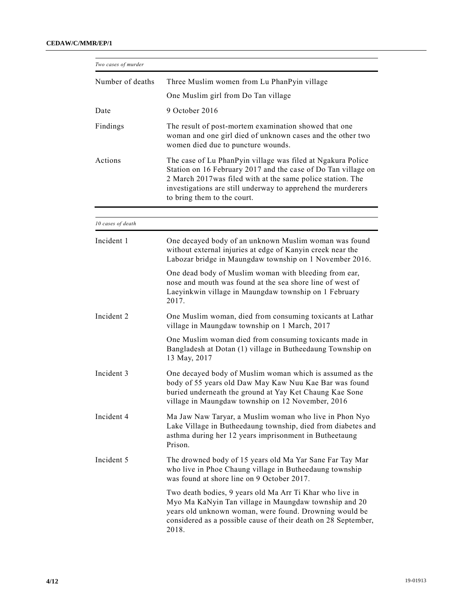| Two cases of murder |                                                                                                                                                                                                                                                                                            |  |  |
|---------------------|--------------------------------------------------------------------------------------------------------------------------------------------------------------------------------------------------------------------------------------------------------------------------------------------|--|--|
| Number of deaths    | Three Muslim women from Lu PhanPyin village                                                                                                                                                                                                                                                |  |  |
|                     | One Muslim girl from Do Tan village                                                                                                                                                                                                                                                        |  |  |
| Date                | 9 October 2016                                                                                                                                                                                                                                                                             |  |  |
| Findings            | The result of post-mortem examination showed that one<br>woman and one girl died of unknown cases and the other two<br>women died due to puncture wounds.                                                                                                                                  |  |  |
| Actions             | The case of Lu PhanPyin village was filed at Ngakura Police<br>Station on 16 February 2017 and the case of Do Tan village on<br>2 March 2017 was filed with at the same police station. The<br>investigations are still underway to apprehend the murderers<br>to bring them to the court. |  |  |
| 10 cases of death   |                                                                                                                                                                                                                                                                                            |  |  |
|                     |                                                                                                                                                                                                                                                                                            |  |  |
| Incident 1          | One decayed body of an unknown Muslim woman was found<br>without external injuries at edge of Kanyin creek near the<br>Labozar bridge in Maungdaw township on 1 November 2016.                                                                                                             |  |  |
|                     | One dead body of Muslim woman with bleeding from ear,<br>nose and mouth was found at the sea shore line of west of<br>Laeyinkwin village in Maungdaw township on 1 February<br>2017.                                                                                                       |  |  |
| Incident 2          | One Muslim woman, died from consuming toxicants at Lathar<br>village in Maungdaw township on 1 March, 2017                                                                                                                                                                                 |  |  |
|                     | One Muslim woman died from consuming toxicants made in<br>Bangladesh at Dotan (1) village in Butheedaung Township on<br>13 May, 2017                                                                                                                                                       |  |  |
| Incident 3          | One decayed body of Muslim woman which is assumed as the<br>body of 55 years old Daw May Kaw Nuu Kae Bar was found<br>buried underneath the ground at Yay Ket Chaung Kae Sone<br>village in Maungdaw township on 12 November, 2016                                                         |  |  |
| Incident 4          | Ma Jaw Naw Taryar, a Muslim woman who live in Phon Nyo<br>Lake Village in Butheedaung township, died from diabetes and<br>asthma during her 12 years imprisonment in Butheetaung<br>Prison.                                                                                                |  |  |
| Incident 5          | The drowned body of 15 years old Ma Yar Sane Far Tay Mar<br>who live in Phoe Chaung village in Butheedaung township<br>was found at shore line on 9 October 2017.                                                                                                                          |  |  |
|                     | Two death bodies, 9 years old Ma Arr Ti Khar who live in<br>Myo Ma KaNyin Tan village in Maungdaw township and 20<br>years old unknown woman, were found. Drowning would be<br>considered as a possible cause of their death on 28 September,<br>2018.                                     |  |  |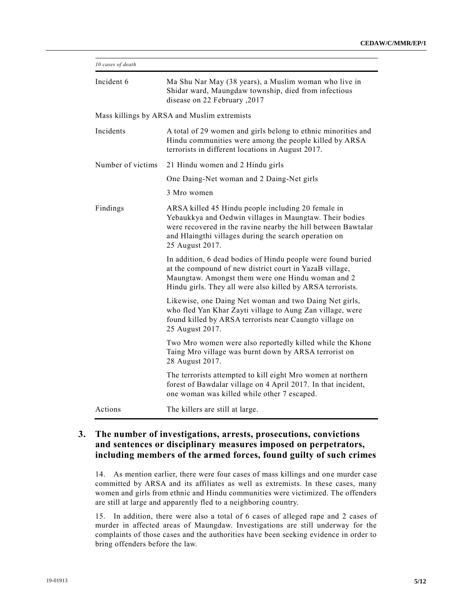| 10 cases of death |                                                                                                                                                                                                                                                            |  |  |  |  |
|-------------------|------------------------------------------------------------------------------------------------------------------------------------------------------------------------------------------------------------------------------------------------------------|--|--|--|--|
| Incident 6        | Ma Shu Nar May (38 years), a Muslim woman who live in<br>Shidar ward, Maungdaw township, died from infectious<br>disease on 22 February , 2017                                                                                                             |  |  |  |  |
|                   | Mass killings by ARSA and Muslim extremists                                                                                                                                                                                                                |  |  |  |  |
| Incidents         | A total of 29 women and girls belong to ethnic minorities and<br>Hindu communities were among the people killed by ARSA<br>terrorists in different locations in August 2017.                                                                               |  |  |  |  |
| Number of victims | 21 Hindu women and 2 Hindu girls                                                                                                                                                                                                                           |  |  |  |  |
|                   | One Daing-Net woman and 2 Daing-Net girls                                                                                                                                                                                                                  |  |  |  |  |
|                   | 3 Mro women                                                                                                                                                                                                                                                |  |  |  |  |
| Findings          | ARSA killed 45 Hindu people including 20 female in<br>Yebaukkya and Oedwin villages in Maungtaw. Their bodies<br>were recovered in the ravine nearby the hill between Bawtalar<br>and Hlaingthi villages during the search operation on<br>25 August 2017. |  |  |  |  |
|                   | In addition, 6 dead bodies of Hindu people were found buried<br>at the compound of new district court in YazaB village,<br>Maungtaw. Amongst them were one Hindu woman and 2<br>Hindu girls. They all were also killed by ARSA terrorists.                 |  |  |  |  |
|                   | Likewise, one Daing Net woman and two Daing Net girls,<br>who fled Yan Khar Zayti village to Aung Zan village, were<br>found killed by ARSA terrorists near Caungto village on<br>25 August 2017.                                                          |  |  |  |  |
|                   | Two Mro women were also reportedly killed while the Khone<br>Taing Mro village was burnt down by ARSA terrorist on<br>28 August 2017.                                                                                                                      |  |  |  |  |
|                   | The terrorists attempted to kill eight Mro women at northern<br>forest of Bawdalar village on 4 April 2017. In that incident,<br>one woman was killed while other 7 escaped.                                                                               |  |  |  |  |
| Actions           | The killers are still at large.                                                                                                                                                                                                                            |  |  |  |  |

# **3. The number of investigations, arrests, prosecutions, convictions and sentences or disciplinary measures imposed on perpetrators, including members of the armed forces, found guilty of such crimes**

14. As mention earlier, there were four cases of mass killings and one murder case committed by ARSA and its affiliates as well as extremists. In these cases, many women and girls from ethnic and Hindu communities were victimized. The offenders are still at large and apparently fled to a neighboring country.

15. In addition, there were also a total of 6 cases of alleged rape and 2 cases of murder in affected areas of Maungdaw. Investigations are still underway for the complaints of those cases and the authorities have been seeking evidence in order to bring offenders before the law.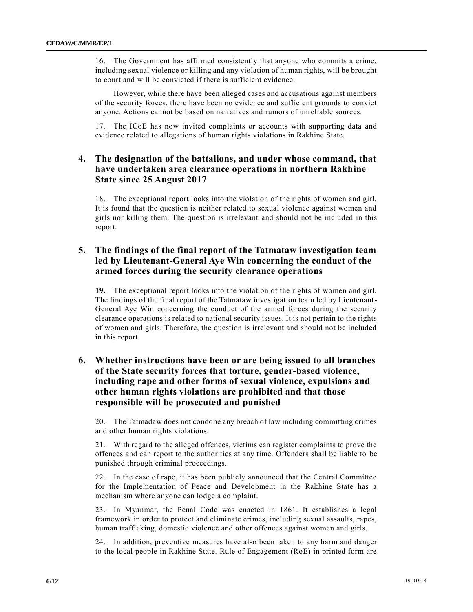16. The Government has affirmed consistently that anyone who commits a crime, including sexual violence or killing and any violation of human rights, will be brought to court and will be convicted if there is sufficient evidence.

However, while there have been alleged cases and accusations against members of the security forces, there have been no evidence and sufficient grounds to convict anyone. Actions cannot be based on narratives and rumors of unreliable sources.

17. The ICoE has now invited complaints or accounts with supporting data and evidence related to allegations of human rights violations in Rakhine State.

## **4. The designation of the battalions, and under whose command, that have undertaken area clearance operations in northern Rakhine State since 25 August 2017**

18. The exceptional report looks into the violation of the rights of women and girl. It is found that the question is neither related to sexual violence against women and girls nor killing them. The question is irrelevant and should not be included in this report.

# **5. The findings of the final report of the Tatmataw investigation team led by Lieutenant-General Aye Win concerning the conduct of the armed forces during the security clearance operations**

**19.** The exceptional report looks into the violation of the rights of women and girl. The findings of the final report of the Tatmataw investigation team led by Lieutenant-General Aye Win concerning the conduct of the armed forces during the security clearance operations is related to national security issues. It is not pertain to the rights of women and girls. Therefore, the question is irrelevant and should not be included in this report.

# **6. Whether instructions have been or are being issued to all branches of the State security forces that torture, gender-based violence, including rape and other forms of sexual violence, expulsions and other human rights violations are prohibited and that those responsible will be prosecuted and punished**

20. The Tatmadaw does not condone any breach of law including committing crimes and other human rights violations.

21. With regard to the alleged offences, victims can register complaints to prove the offences and can report to the authorities at any time. Offenders shall be liable to be punished through criminal proceedings.

22. In the case of rape, it has been publicly announced that the Central Committee for the Implementation of Peace and Development in the Rakhine State has a mechanism where anyone can lodge a complaint.

23. In Myanmar, the Penal Code was enacted in 1861. It establishes a legal framework in order to protect and eliminate crimes, including sexual assaults, rapes, human trafficking, domestic violence and other offences against women and girls.

24. In addition, preventive measures have also been taken to any harm and danger to the local people in Rakhine State. Rule of Engagement (RoE) in printed form are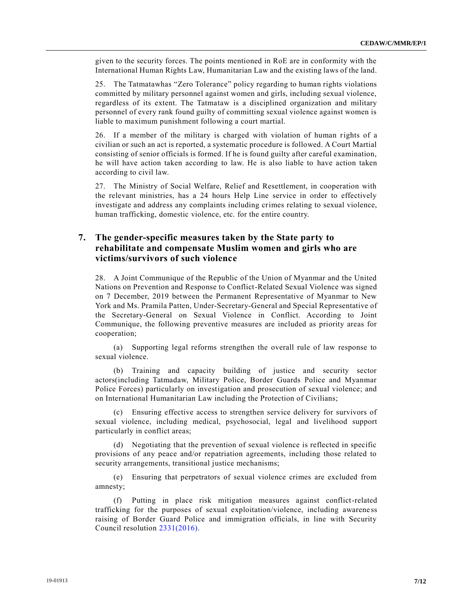given to the security forces. The points mentioned in RoE are in conformity with the International Human Rights Law, Humanitarian Law and the existing laws of the land.

25. The Tatmatawhas "Zero Tolerance" policy regarding to human rights violations committed by military personnel against women and girls, including sexual violence, regardless of its extent. The Tatmataw is a disciplined organization and military personnel of every rank found guilty of committing sexual violence against women is liable to maximum punishment following a court martial.

26. If a member of the military is charged with violation of human rights of a civilian or such an act is reported, a systematic procedure is followed. A Court Martial consisting of senior officials is formed. If he is found guilty after careful examination, he will have action taken according to law. He is also liable to have action taken according to civil law.

27. The Ministry of Social Welfare, Relief and Resettlement, in cooperation with the relevant ministries, has a 24 hours Help Line service in order to effectively investigate and address any complaints including crimes relating to sexual violence, human trafficking, domestic violence, etc. for the entire country.

# **7. The gender-specific measures taken by the State party to rehabilitate and compensate Muslim women and girls who are victims/survivors of such violence**

28. A Joint Communique of the Republic of the Union of Myanmar and the United Nations on Prevention and Response to Conflict-Related Sexual Violence was signed on 7 December, 2019 between the Permanent Representative of Myanmar to New York and Ms. Pramila Patten, Under-Secretary-General and Special Representative of the Secretary-General on Sexual Violence in Conflict. According to Joint Communique, the following preventive measures are included as priority areas for cooperation;

(a) Supporting legal reforms strengthen the overall rule of law response to sexual violence.

(b) Training and capacity building of justice and security sector actors(including Tatmadaw, Military Police, Border Guards Police and Myanmar Police Forces) particularly on investigation and prosecution of sexual violence; and on International Humanitarian Law including the Protection of Civilians;

(c) Ensuring effective access to strengthen service delivery for survivors of sexual violence, including medical, psychosocial, legal and livelihood support particularly in conflict areas;

(d) Negotiating that the prevention of sexual violence is reflected in specific provisions of any peace and/or repatriation agreements, including those related to security arrangements, transitional justice mechanisms;

(e) Ensuring that perpetrators of sexual violence crimes are excluded from amnesty;

(f) Putting in place risk mitigation measures against conflict-related trafficking for the purposes of sexual exploitation/violence, including awarene ss raising of Border Guard Police and immigration officials, in line with Security Council resolution [2331\(2016\).](https://undocs.org/en/S/RES/2331(2016))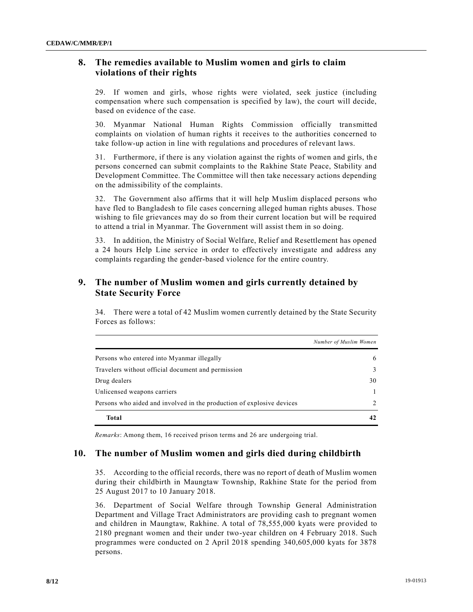## **8. The remedies available to Muslim women and girls to claim violations of their rights**

29. If women and girls, whose rights were violated, seek justice (including compensation where such compensation is specified by law), the court will decide, based on evidence of the case.

30. Myanmar National Human Rights Commission officially transmitted complaints on violation of human rights it receives to the authorities concerned to take follow-up action in line with regulations and procedures of relevant laws.

31. Furthermore, if there is any violation against the rights of women and girls, th e persons concerned can submit complaints to the Rakhine State Peace, Stability and Development Committee. The Committee will then take necessary actions depending on the admissibility of the complaints.

32. The Government also affirms that it will help Muslim displaced persons who have fled to Bangladesh to file cases concerning alleged human rights abuses. Those wishing to file grievances may do so from their current location but will be required to attend a trial in Myanmar. The Government will assist them in so doing.

33. In addition, the Ministry of Social Welfare, Relief and Resettlement has opened a 24 hours Help Line service in order to effectively investigate and address any complaints regarding the gender-based violence for the entire country.

## **9. The number of Muslim women and girls currently detained by State Security Force**

34. There were a total of 42 Muslim women currently detained by the State Security Forces as follows:

|                                                                       | Number of Muslim Women |
|-----------------------------------------------------------------------|------------------------|
| Persons who entered into Myanmar illegally                            | 6                      |
| Travelers without official document and permission                    |                        |
| Drug dealers                                                          | 30                     |
| Unlicensed weapons carriers                                           |                        |
| Persons who aided and involved in the production of explosive devices |                        |
| <b>Total</b>                                                          |                        |

*Remarks*: Among them, 16 received prison terms and 26 are undergoing trial.

## **10. The number of Muslim women and girls died during childbirth**

35. According to the official records, there was no report of death of Muslim women during their childbirth in Maungtaw Township, Rakhine State for the period from 25 August 2017 to 10 January 2018.

36. Department of Social Welfare through Township General Administration Department and Village Tract Administrators are providing cash to pregnant women and children in Maungtaw, Rakhine. A total of 78,555,000 kyats were provided to 2180 pregnant women and their under two-year children on 4 February 2018. Such programmes were conducted on 2 April 2018 spending 340,605,000 kyats for 3878 persons.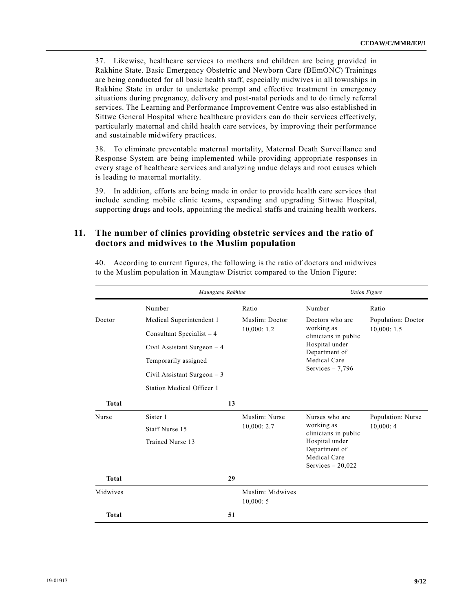37. Likewise, healthcare services to mothers and children are being provided in Rakhine State. Basic Emergency Obstetric and Newborn Care (BEmONC) Trainings are being conducted for all basic health staff, especially midwives in all townships in Rakhine State in order to undertake prompt and effective treatment in emergency situations during pregnancy, delivery and post-natal periods and to do timely referral services. The Learning and Performance Improvement Centre was also established in Sittwe General Hospital where healthcare providers can do their services effectively, particularly maternal and child health care services, by improving their performance and sustainable midwifery practices.

38. To eliminate preventable maternal mortality, Maternal Death Surveillance and Response System are being implemented while providing appropriate responses in every stage of healthcare services and analyzing undue delays and root causes which is leading to maternal mortality.

39. In addition, efforts are being made in order to provide health care services that include sending mobile clinic teams, expanding and upgrading Sittwae Hospital, supporting drugs and tools, appointing the medical staffs and training health workers.

## **11. The number of clinics providing obstetric services and the ratio of doctors and midwives to the Muslim population**

|              | Maungtaw, Rakhine            |                              |                                                                                                                               | <b>Union Figure</b>              |
|--------------|------------------------------|------------------------------|-------------------------------------------------------------------------------------------------------------------------------|----------------------------------|
|              | Number                       | Ratio                        | Number                                                                                                                        | Ratio                            |
| Doctor       | Medical Superintendent 1     | Muslim: Doctor<br>10,000:1.2 | Doctors who are<br>working as<br>clinicians in public<br>Hospital under<br>Department of<br>Medical Care<br>Services $-7,796$ | Population: Doctor<br>10,000:1.5 |
|              | Consultant Specialist $-4$   |                              |                                                                                                                               |                                  |
|              | Civil Assistant Surgeon $-4$ |                              |                                                                                                                               |                                  |
|              | Temporarily assigned         |                              |                                                                                                                               |                                  |
|              | Civil Assistant Surgeon $-3$ |                              |                                                                                                                               |                                  |
|              | Station Medical Officer 1    |                              |                                                                                                                               |                                  |
| <b>Total</b> | 13                           |                              |                                                                                                                               |                                  |
| Nurse        | Sister 1                     | Muslim: Nurse                | Nurses who are                                                                                                                | Population: Nurse                |
|              | Staff Nurse 15               | 10,000:2.7                   | working as<br>clinicians in public<br>Hospital under                                                                          | 10,000:4                         |
|              | Trained Nurse 13             |                              |                                                                                                                               |                                  |
|              |                              |                              | Department of                                                                                                                 |                                  |
|              |                              |                              | Medical Care                                                                                                                  |                                  |
|              |                              |                              | Services $-20,022$                                                                                                            |                                  |
| <b>Total</b> | 29                           |                              |                                                                                                                               |                                  |
| Midwives     |                              | Muslim: Midwives             |                                                                                                                               |                                  |
|              |                              | 10,000:5                     |                                                                                                                               |                                  |
| <b>Total</b> | 51                           |                              |                                                                                                                               |                                  |

40. According to current figures, the following is the ratio of doctors and midwives to the Muslim population in Maungtaw District compared to the Union Figure: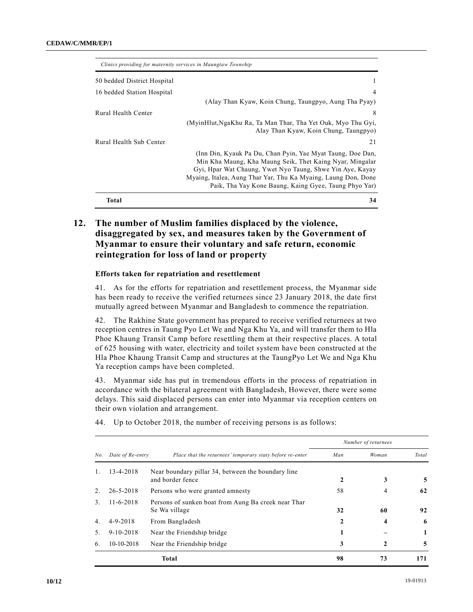| Clinics providing for maternity services in Maungtaw Township |                                                                                                                                                                                                                                                                                                               |
|---------------------------------------------------------------|---------------------------------------------------------------------------------------------------------------------------------------------------------------------------------------------------------------------------------------------------------------------------------------------------------------|
| 50 bedded District Hospital                                   |                                                                                                                                                                                                                                                                                                               |
| 16 bedded Station Hospital                                    |                                                                                                                                                                                                                                                                                                               |
|                                                               | (Alay Than Kyaw, Koin Chung, Taungpyo, Aung Tha Pyay)                                                                                                                                                                                                                                                         |
| Rural Health Center                                           | 8                                                                                                                                                                                                                                                                                                             |
|                                                               | (MyinHlut, NgaKhu Ra, Ta Man Thar, Tha Yet Ouk, Myo Thu Gyi,<br>Alay Than Kyaw, Koin Chung, Taungpyo)                                                                                                                                                                                                         |
| Rural Health Sub Center                                       | 21                                                                                                                                                                                                                                                                                                            |
|                                                               | (Inn Din, Kyauk Pa Du, Chan Pyin, Yae Myat Taung, Doe Dan,<br>Min Kha Maung, Kha Maung Seik, Thet Kaing Nyar, Mingalar<br>Gyi, Hpar Wat Chaung, Ywet Nyo Taung, Shwe Yin Aye, Kayay<br>Myaing, Italea, Aung Thar Yar, Thu Ka Myaing, Laung Don, Done<br>Paik, Tha Yay Kone Baung, Kaing Gyee, Taung Phyo Yar) |
| Total                                                         | 34                                                                                                                                                                                                                                                                                                            |

# **12. The number of Muslim families displaced by the violence, disaggregated by sex, and measures taken by the Government of Myanmar to ensure their voluntary and safe return, economic reintegration for loss of land or property**

#### **Efforts taken for repatriation and resettlement**

41. As for the efforts for repatriation and resettlement process, the Myanmar side has been ready to receive the verified returnees since 23 January 2018, the date first mutually agreed between Myanmar and Bangladesh to commence the repatriation.

42. The Rakhine State government has prepared to receive verified returnees at two reception centres in Taung Pyo Let We and Nga Khu Ya, and will transfer them to Hla Phoe Khaung Transit Camp before resettling them at their respective places. A total of 625 housing with water, electricity and toilet system have been constructed at the Hla Phoe Khaung Transit Camp and structures at the TaungPyo Let We and Nga Khu Ya reception camps have been completed.

43. Myanmar side has put in tremendous efforts in the process of repatriation in accordance with the bilateral agreement with Bangladesh, However, there were some delays. This said displaced persons can enter into Myanmar via reception centers on their own violation and arrangement.

|     |                  |                                                                        | Number of returnees |       |       |
|-----|------------------|------------------------------------------------------------------------|---------------------|-------|-------|
| No. | Date of Re-entry | Place that the returnees' temporary staty before re-enter              | Man                 | Woman | Total |
| 1.  | $13 - 4 - 2018$  | Near boundary pillar 34, between the boundary line<br>and border fence | 2                   | 3     | 5     |
| 2.  | 26-5-2018        | Persons who were granted amnesty                                       | 58                  | 4     | 62    |
| 3.  | $11 - 6 - 2018$  | Persons of sunken boat from Aung Ba creek near Thar<br>Se Wa village   | 32                  | 60    | 92    |
| 4.  | $4 - 9 - 2018$   | From Bangladesh                                                        | 2                   | 4     | -6    |
| 5.  | $9-10-2018$      | Near the Friendship bridge                                             |                     |       | 1     |
| 6.  | $10-10-2018$     | Near the Friendship bridge                                             | 3                   | 2     | 5     |
|     |                  | Total                                                                  | 98                  | 73    | 171   |

44. Up to October 2018, the number of receiving persons is as follows: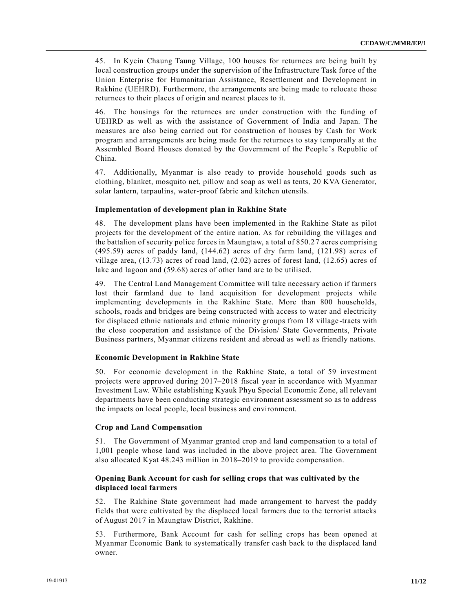45. In Kyein Chaung Taung Village, 100 houses for returnees are being built by local construction groups under the supervision of the Infrastructure Task force of the Union Enterprise for Humanitarian Assistance, Resettlement and Development in Rakhine (UEHRD). Furthermore, the arrangements are being made to relocate those returnees to their places of origin and nearest places to it.

46. The housings for the returnees are under construction with the funding of UEHRD as well as with the assistance of Government of India and Japan. The measures are also being carried out for construction of houses by Cash for Work program and arrangements are being made for the returnees to stay temporally at the Assembled Board Houses donated by the Government of the People's Republic of China.

47. Additionally, Myanmar is also ready to provide household goods such as clothing, blanket, mosquito net, pillow and soap as well as tents, 20 KVA Generator, solar lantern, tarpaulins, water-proof fabric and kitchen utensils.

#### **Implementation of development plan in Rakhine State**

48. The development plans have been implemented in the Rakhine State as pilot projects for the development of the entire nation. As for rebuilding the villages and the battalion of security police forces in Maungtaw, a total of 850.27 acres comprising (495.59) acres of paddy land, (144.62) acres of dry farm land, (121.98) acres of village area, (13.73) acres of road land, (2.02) acres of forest land, (12.65) acres of lake and lagoon and (59.68) acres of other land are to be utilised.

49. The Central Land Management Committee will take necessary action if farmers lost their farmland due to land acquisition for development projects while implementing developments in the Rakhine State. More than 800 households, schools, roads and bridges are being constructed with access to water and electricity for displaced ethnic nationals and ethnic minority groups from 18 village -tracts with the close cooperation and assistance of the Division/ State Governments, Private Business partners, Myanmar citizens resident and abroad as well as friendly nations.

#### **Economic Development in Rakhine State**

50. For economic development in the Rakhine State, a total of 59 investment projects were approved during 2017–2018 fiscal year in accordance with Myanmar Investment Law. While establishing Kyauk Phyu Special Economic Zone, all relevant departments have been conducting strategic environment assessment so as to address the impacts on local people, local business and environment.

#### **Crop and Land Compensation**

51. The Government of Myanmar granted crop and land compensation to a total of 1,001 people whose land was included in the above project area. The Government also allocated Kyat 48.243 million in 2018–2019 to provide compensation.

### **Opening Bank Account for cash for selling crops that was cultivated by the displaced local farmers**

52. The Rakhine State government had made arrangement to harvest the paddy fields that were cultivated by the displaced local farmers due to the terrorist attacks of August 2017 in Maungtaw District, Rakhine.

53. Furthermore, Bank Account for cash for selling crops has been opened at Myanmar Economic Bank to systematically transfer cash back to the displaced land owner.